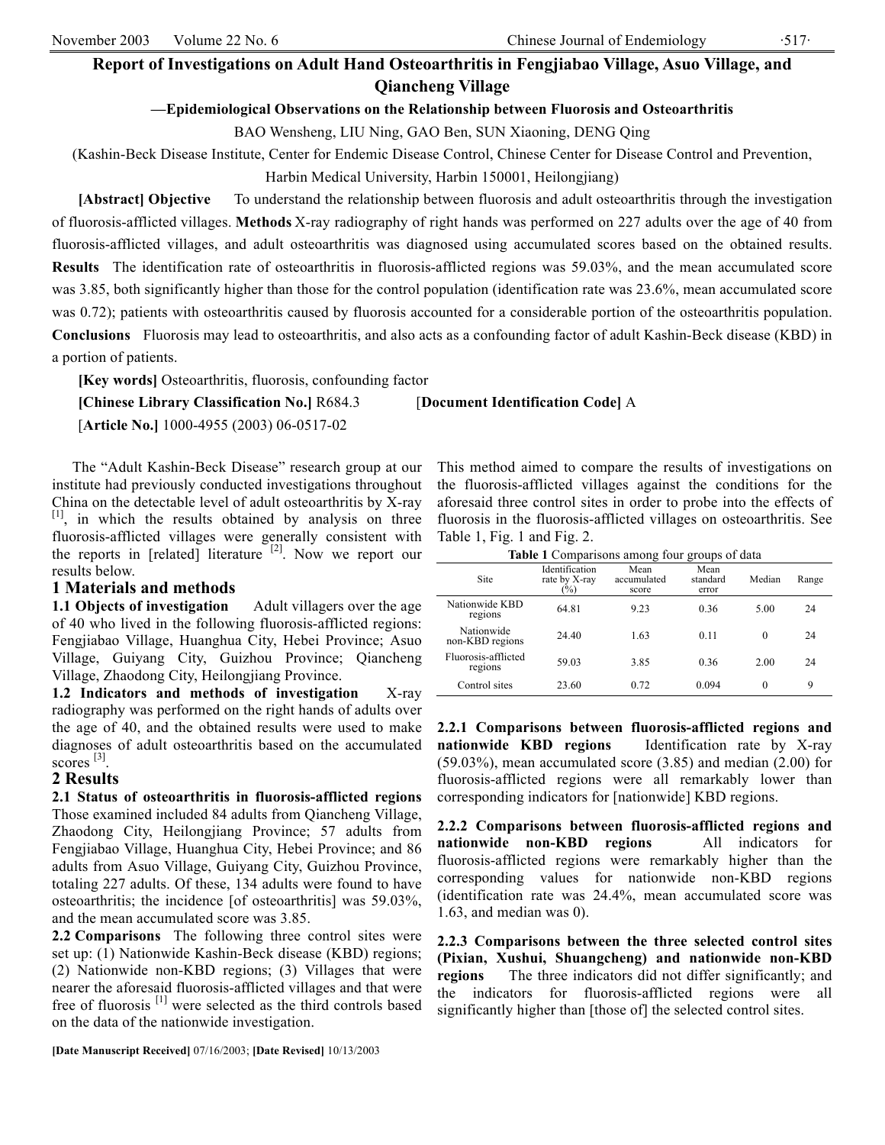# **Report of Investigations on Adult Hand Osteoarthritis in Fengjiabao Village, Asuo Village, and Qiancheng Village**

### **—Epidemiological Observations on the Relationship between Fluorosis and Osteoarthritis**

BAO Wensheng, LIU Ning, GAO Ben, SUN Xiaoning, DENG Qing

(Kashin-Beck Disease Institute, Center for Endemic Disease Control, Chinese Center for Disease Control and Prevention,

Harbin Medical University, Harbin 150001, Heilongjiang)

**[Abstract] Objective** To understand the relationship between fluorosis and adult osteoarthritis through the investigation of fluorosis-afflicted villages. **Methods** X-ray radiography of right hands was performed on 227 adults over the age of 40 from fluorosis-afflicted villages, and adult osteoarthritis was diagnosed using accumulated scores based on the obtained results. **Results** The identification rate of osteoarthritis in fluorosis-afflicted regions was 59.03%, and the mean accumulated score was 3.85, both significantly higher than those for the control population (identification rate was 23.6%, mean accumulated score was 0.72); patients with osteoarthritis caused by fluorosis accounted for a considerable portion of the osteoarthritis population. **Conclusions** Fluorosis may lead to osteoarthritis, and also acts as a confounding factor of adult Kashin-Beck disease (KBD) in a portion of patients.

**[Key words]** Osteoarthritis, fluorosis, confounding factor

**[Chinese Library Classification No.]** R684.3 [**Document Identification Code]** A

[**Article No.]** 1000-4955 (2003) 06-0517-02

The "Adult Kashin-Beck Disease" research group at our institute had previously conducted investigations throughout China on the detectable level of adult osteoarthritis by X-ray [1], in which the results obtained by analysis on three fluorosis-afflicted villages were generally consistent with the reports in [related] literature  $[2]$ . Now we report our results below.

#### **1 Materials and methods**

**1.1 Objects of investigation** Adult villagers over the age of 40 who lived in the following fluorosis-afflicted regions: Fengjiabao Village, Huanghua City, Hebei Province; Asuo Village, Guiyang City, Guizhou Province; Qiancheng Village, Zhaodong City, Heilongjiang Province.

**1.2 Indicators and methods of investigation** X-ray radiography was performed on the right hands of adults over the age of 40, and the obtained results were used to make diagnoses of adult osteoarthritis based on the accumulated scores  $^{[3]}$ .

## **2 Results**

**2.1 Status of osteoarthritis in fluorosis-afflicted regions**  Those examined included 84 adults from Qiancheng Village, Zhaodong City, Heilongjiang Province; 57 adults from Fengjiabao Village, Huanghua City, Hebei Province; and 86 adults from Asuo Village, Guiyang City, Guizhou Province, totaling 227 adults. Of these, 134 adults were found to have osteoarthritis; the incidence [of osteoarthritis] was 59.03%, and the mean accumulated score was 3.85.

**2.2 Comparisons** The following three control sites were set up: (1) Nationwide Kashin-Beck disease (KBD) regions; (2) Nationwide non-KBD regions; (3) Villages that were nearer the aforesaid fluorosis-afflicted villages and that were free of fluorosis [1] were selected as the third controls based on the data of the nationwide investigation.

**[Date Manuscript Received]** 07/16/2003; **[Date Revised]** 10/13/2003

This method aimed to compare the results of investigations on the fluorosis-afflicted villages against the conditions for the aforesaid three control sites in order to probe into the effects of fluorosis in the fluorosis-afflicted villages on osteoarthritis. See Table 1, Fig. 1 and Fig. 2.

| <b>Table 1</b> Comparisons among four groups of data |                                           |                              |                           |          |       |
|------------------------------------------------------|-------------------------------------------|------------------------------|---------------------------|----------|-------|
| Site                                                 | Identification<br>rate by X-ray<br>$(\%)$ | Mean<br>accumulated<br>score | Mean<br>standard<br>error | Median   | Range |
| Nationwide KBD<br>regions                            | 64.81                                     | 9.23                         | 0.36                      | 5.00     | 24    |
| Nationwide<br>non-KBD regions                        | 24.40                                     | 1.63                         | 0.11                      | $\theta$ | 24    |
| Fluorosis-afflicted<br>regions                       | 59.03                                     | 3.85                         | 0.36                      | 2.00     | 24    |
| Control sites                                        | 23.60                                     | 0.72                         | 0.094                     | $\theta$ | 9     |

**2.2.1 Comparisons between fluorosis-afflicted regions and nationwide KBD regions** Identification rate by X-ray (59.03%), mean accumulated score (3.85) and median (2.00) for fluorosis-afflicted regions were all remarkably lower than corresponding indicators for [nationwide] KBD regions.

**2.2.2 Comparisons between fluorosis-afflicted regions and nationwide non-KBD regions** All indicators for fluorosis-afflicted regions were remarkably higher than the corresponding values for nationwide non-KBD regions (identification rate was 24.4%, mean accumulated score was 1.63, and median was 0).

**2.2.3 Comparisons between the three selected control sites (Pixian, Xushui, Shuangcheng) and nationwide non-KBD regions** The three indicators did not differ significantly; and the indicators for fluorosis-afflicted regions were all significantly higher than [those of] the selected control sites.